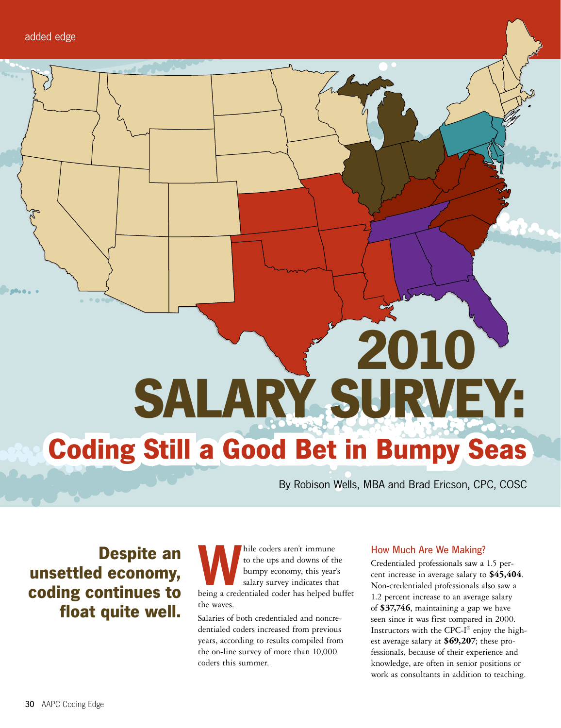# **2010 SALARY SURVEY: Coding Still a Good Bet in Bumpy Seas**

By Robison Wells, MBA and Brad Ericson, CPC, COSC

**Despite an unsettled economy, coding continues to float quite well.**

hile coders aren't immune<br>to the ups and downs of the<br>bumpy economy, this year's<br>salary survey indicates that<br>being a credentialed coder has helped buffet to the ups and downs of the bumpy economy, this year's salary survey indicates that the waves.

Salaries of both credentialed and noncredentialed coders increased from previous years, according to results compiled from the on-line survey of more than 10,000 coders this summer.

#### How Much Are We Making?

Credentialed professionals saw a 1.5 percent increase in average salary to **\$45,404**. Non-credentialed professionals also saw a 1.2 percent increase to an average salary of **\$37,746**, maintaining a gap we have seen since it was first compared in 2000. Instructors with the CPC-I® enjoy the highest average salary at **\$69,207**; these professionals, because of their experience and knowledge, are often in senior positions or work as consultants in addition to teaching.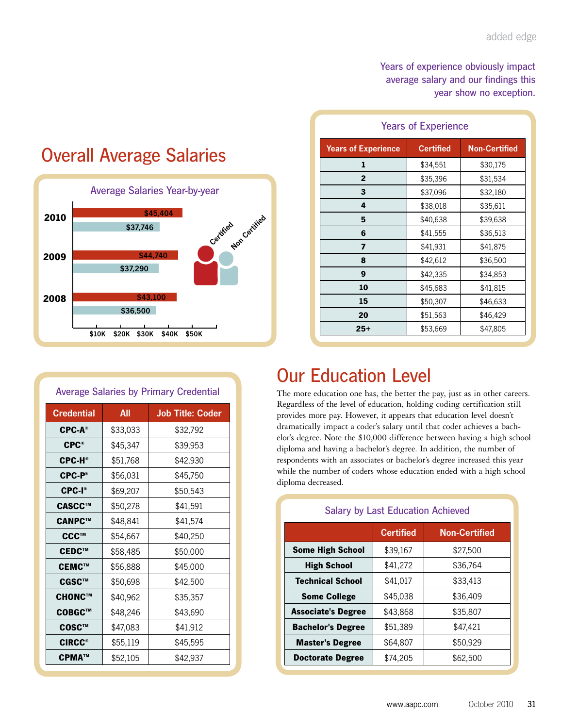#### Years of experience obviously impact average salary and our findings this year show no exception.

| <b>Years of Experience</b> |                  |                      |  |
|----------------------------|------------------|----------------------|--|
| <b>Years of Experience</b> | <b>Certified</b> | <b>Non-Certified</b> |  |
| 1                          | \$34,551         | \$30,175             |  |
| $\mathbf{2}$               | \$35,396         | \$31,534             |  |
| 3                          | \$37,096         | \$32,180             |  |
| 4                          | \$38,018         | \$35,611             |  |
| 5                          | \$40,638         | \$39,638             |  |
| 6                          | \$41,555         | \$36,513             |  |
| 7                          | \$41,931         | \$41,875             |  |
| 8                          | \$42,612         | \$36,500             |  |
| 9                          | \$42,335         | \$34,853             |  |
| 10                         | \$45,683         | \$41,815             |  |
| 15                         | \$50,307         | \$46,633             |  |
| 20                         | \$51,563         | \$46,429             |  |
| 25+                        | \$53,669         | \$47,805             |  |

### Overall Average Salaries



| <b>Average Salaries by Primary Credential</b> |          |                         |  |
|-----------------------------------------------|----------|-------------------------|--|
| <b>Credential</b>                             | All      | <b>Job Title: Coder</b> |  |
| <b>CPC-A®</b>                                 | \$33,033 | \$32,792                |  |
| $CPC^*$                                       | \$45,347 | \$39,953                |  |
| <b>CPC-H®</b>                                 | \$51,768 | \$42,930                |  |
| <b>CPC-P®</b>                                 | \$56,031 | \$45,750                |  |
| CPC-I <sup>®</sup>                            | \$69,207 | \$50,543                |  |
| CASCC™                                        | \$50,278 | \$41,591                |  |
| CANPC™                                        | \$48,841 | \$41,574                |  |
| CCC™                                          | \$54,667 | \$40,250                |  |
| CEDC™                                         | \$58,485 | \$50,000                |  |
| CEMC™                                         | \$56,888 | \$45,000                |  |
| CGSC™                                         | \$50,698 | \$42,500                |  |
| CHONC™                                        | \$40,962 | \$35,357                |  |
| COBGC™                                        | \$48,246 | \$43,690                |  |
| COSC™                                         | \$47,083 | \$41,912                |  |
| <b>CIRCC®</b>                                 | \$55,119 | \$45,595                |  |
| CPMA™                                         | \$52,105 | \$42,937                |  |

## Our Education Level

The more education one has, the better the pay, just as in other careers. Regardless of the level of education, holding coding certification still provides more pay. However, it appears that education level doesn't dramatically impact a coder's salary until that coder achieves a bachelor's degree. Note the \$10,000 difference between having a high school diploma and having a bachelor's degree. In addition, the number of respondents with an associates or bachelor's degree increased this year while the number of coders whose education ended with a high school diploma decreased.

| <b>Salary by Last Education Achieved</b>        |                                          |          |  |
|-------------------------------------------------|------------------------------------------|----------|--|
|                                                 | <b>Non-Certified</b><br><b>Certified</b> |          |  |
| <b>Some High School</b>                         | \$39,167                                 | \$27,500 |  |
| <b>High School</b>                              | \$41,272                                 | \$36,764 |  |
| <b>Technical School</b>                         | \$41,017                                 | \$33,413 |  |
| <b>Some College</b>                             | \$45,038                                 | \$36,409 |  |
| <b>Associate's Degree</b>                       | \$43,868<br>\$35,807                     |          |  |
| <b>Bachelor's Degree</b>                        | \$51,389<br>\$47,421                     |          |  |
| <b>Master's Degree</b>                          | \$50,929<br>\$64,807                     |          |  |
| \$74,205<br>\$62,500<br><b>Doctorate Degree</b> |                                          |          |  |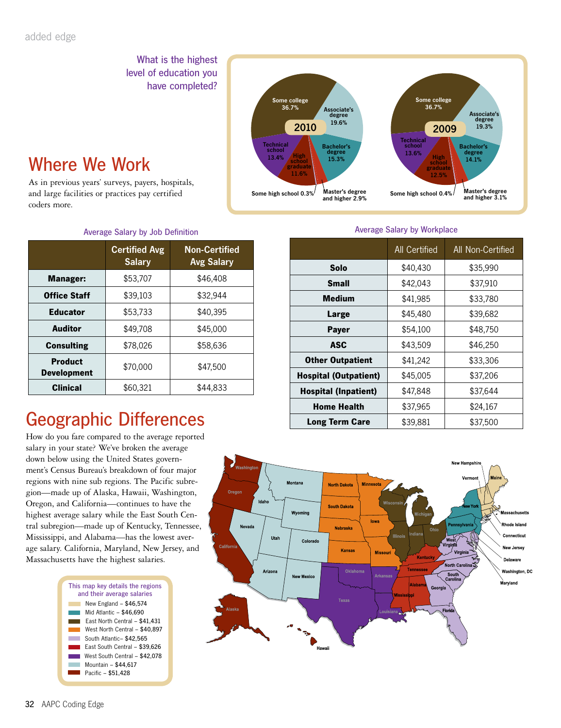What is the highest level of education you have completed?

## Where We Work

As in previous years' surveys, payers, hospitals, and large facilities or practices pay certified coders more.



#### Average Salary by Workplace

| Average Salary by Job Definition |                                                                                    |          |  |
|----------------------------------|------------------------------------------------------------------------------------|----------|--|
|                                  | <b>Non-Certified</b><br><b>Certified Avg</b><br><b>Salary</b><br><b>Avg Salary</b> |          |  |
| Manager:                         | \$53,707                                                                           | \$46,408 |  |
| <b>Office Staff</b>              | \$39,103                                                                           | \$32,944 |  |
| <b>Educator</b>                  | \$53,733                                                                           | \$40,395 |  |
| <b>Auditor</b>                   | \$49,708                                                                           | \$45,000 |  |
| <b>Consulting</b>                | \$78,026                                                                           | \$58,636 |  |
| Product<br><b>Development</b>    | \$70,000                                                                           | \$47,500 |  |
| <b>Clinical</b>                  | \$60,321                                                                           | \$44,833 |  |

# Geographic Differences

How do you fare compared to the average reported salary in your state? We've broken the average down below using the United States government's Census Bureau's breakdown of four major regions with nine sub regions. The Pacific subregion—made up of Alaska, Hawaii, Washington, Oregon, and California—continues to have the highest average salary while the East South Central subregion—made up of Kentucky, Tennessee, Mississippi, and Alabama—has the lowest average salary. California, Maryland, New Jersey, and Massachusetts have the highest salaries.



|                              | All Certified | All Non-Certified |
|------------------------------|---------------|-------------------|
| Solo                         | \$40,430      | \$35,990          |
| <b>Small</b>                 | \$42,043      | \$37,910          |
| <b>Medium</b>                | \$41,985      | \$33,780          |
| Large                        | \$45,480      | \$39,682          |
| <b>Payer</b>                 | \$54,100      | \$48,750          |
| ASC                          | \$43,509      | \$46,250          |
| <b>Other Outpatient</b>      | \$41,242      | \$33,306          |
| <b>Hospital (Outpatient)</b> | \$45,005      | \$37,206          |
| <b>Hospital (Inpatient)</b>  | \$47,848      | \$37,644          |
| <b>Home Health</b>           | \$37,965      | \$24,167          |
| <b>Long Term Care</b>        | \$39,881      | \$37,500          |